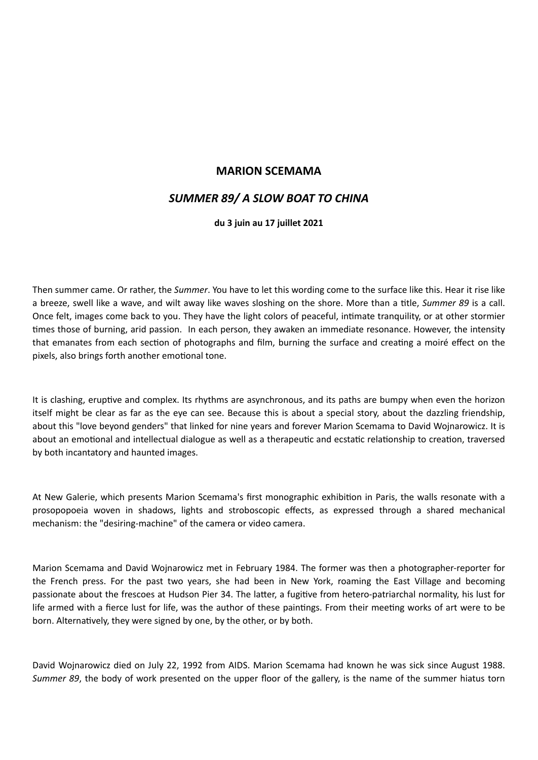## **MARION SCEMAMA**

## *SUMMER 89/ A SLOW BOAT TO CHINA*

## **du 3 juin au 17 juillet 2021**

Then summer came. Or rather, the *Summer*. You have to let this wording come to the surface like this. Hear it rise like a breeze, swell like a wave, and wilt away like waves sloshing on the shore. More than a title, *Summer 89* is a call. Once felt, images come back to you. They have the light colors of peaceful, intimate tranquility, or at other stormier times those of burning, arid passion. In each person, they awaken an immediate resonance. However, the intensity that emanates from each section of photographs and film, burning the surface and creating a moiré effect on the pixels, also brings forth another emotional tone.

It is clashing, eruptive and complex. Its rhythms are asynchronous, and its paths are bumpy when even the horizon itself might be clear as far as the eye can see. Because this is about a special story, about the dazzling friendship, about this "love beyond genders" that linked for nine years and forever Marion Scemama to David Wojnarowicz. It is about an emotional and intellectual dialogue as well as a therapeutic and ecstatic relationship to creation, traversed by both incantatory and haunted images.

At New Galerie, which presents Marion Scemama's first monographic exhibition in Paris, the walls resonate with a prosopopoeia woven in shadows, lights and stroboscopic effects, as expressed through a shared mechanical mechanism: the "desiring-machine" of the camera or video camera.

Marion Scemama and David Wojnarowicz met in February 1984. The former was then a photographer-reporter for the French press. For the past two years, she had been in New York, roaming the East Village and becoming passionate about the frescoes at Hudson Pier 34. The latter, a fugitive from hetero-patriarchal normality, his lust for life armed with a fierce lust for life, was the author of these paintings. From their meeting works of art were to be born. Alternatively, they were signed by one, by the other, or by both.

David Wojnarowicz died on July 22, 1992 from AIDS. Marion Scemama had known he was sick since August 1988. *Summer 89*, the body of work presented on the upper floor of the gallery, is the name of the summer hiatus torn